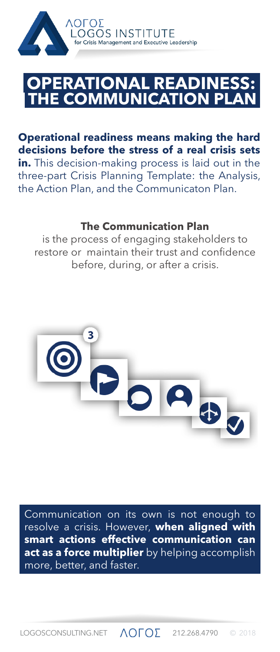

## **HE COMMUNICATION P ERATIONAL READIN**

**Operational readiness means making the hard decisions before the stress of a real crisis sets in.** This decision-making process is laid out in the three-part Crisis Planning Template: the Analysis, the Action Plan, and the Communicaton Plan.

## **The Communication Plan**

is the process of engaging stakeholders to restore or maintain their trust and confidence before, during, or after a crisis.



Communication on its own is not enough to resolve a crisis. However, **when aligned with smart actions effective communication can act as a force multiplier** by helping accomplish more, better, and faster.